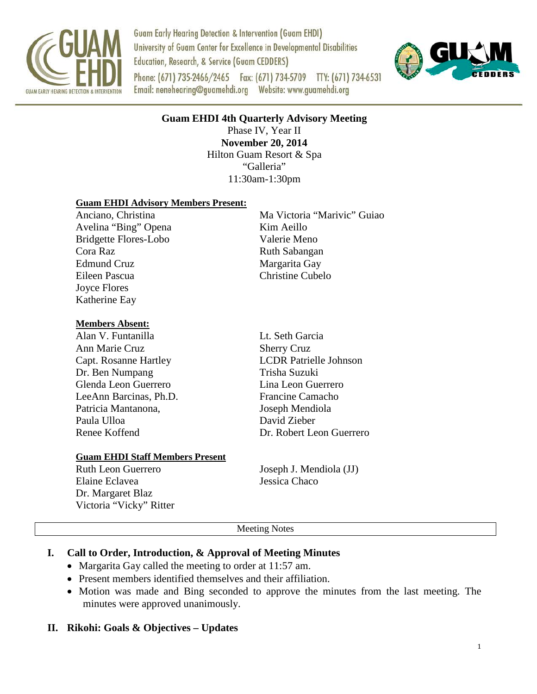

Ī

**Guam Early Hearing Detection & Intervention (Guam EHDI)** University of Guam Center for Excellence in Developmental Disabilities Education, Research, & Service (Guam CEDDERS) Phone: (671) 735-2466/2465 Fax: (671) 734-5709 TTY: (671) 734-6531 



**Guam EHDI 4th Quarterly Advisory Meeting**

Phase IV, Year II **November 20, 2014** Hilton Guam Resort & Spa "Galleria" 11:30am-1:30pm

#### **Guam EHDI Advisory Members Present:**

Anciano, Christina Ma Victoria "Marivic" Guiao Avelina "Bing" Opena Kim Aeillo Bridgette Flores-Lobo Valerie Meno Cora Raz Ruth Sabangan Edmund Cruz Margarita Gay Eileen Pascua Christine Cubelo Joyce Flores Katherine Eay

#### **Members Absent:**

Alan V. Funtanilla Lt. Seth Garcia Ann Marie Cruz Sherry Cruz Dr. Ben Numpang Trisha Suzuki Glenda Leon Guerrero Lina Leon Guerrero LeeAnn Barcinas, Ph.D. Francine Camacho Patricia Mantanona, Soseph Mendiola Paula Ulloa David Zieber

# Capt. Rosanne Hartley LCDR Patrielle Johnson Renee Koffend Dr. Robert Leon Guerrero

#### **Guam EHDI Staff Members Present**

Elaine Eclavea Jessica Chaco Dr. Margaret Blaz Victoria "Vicky" Ritter

Ruth Leon Guerrero Joseph J. Mendiola (JJ)

#### Meeting Notes

### **I. Call to Order, Introduction, & Approval of Meeting Minutes**

- Margarita Gay called the meeting to order at 11:57 am.
- Present members identified themselves and their affiliation.
- Motion was made and Bing seconded to approve the minutes from the last meeting. The minutes were approved unanimously.

### **II. Rikohi: Goals & Objectives – Updates**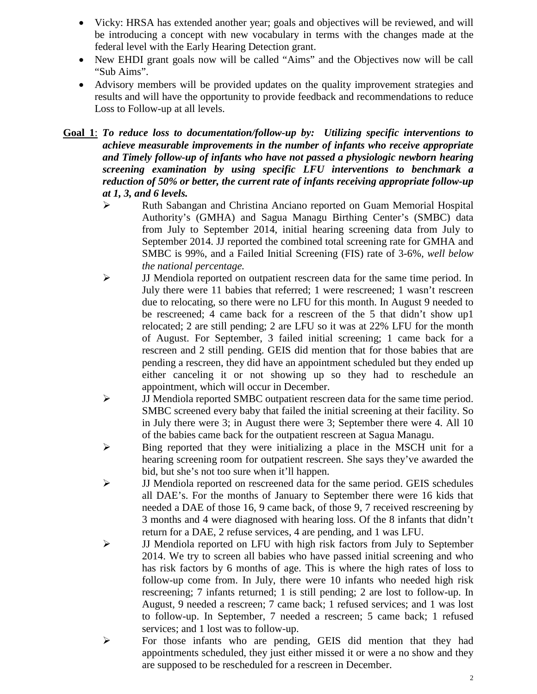- Vicky: HRSA has extended another year; goals and objectives will be reviewed, and will be introducing a concept with new vocabulary in terms with the changes made at the federal level with the Early Hearing Detection grant.
- New EHDI grant goals now will be called "Aims" and the Objectives now will be call "Sub Aims".
- Advisory members will be provided updates on the quality improvement strategies and results and will have the opportunity to provide feedback and recommendations to reduce Loss to Follow-up at all levels.

**Goal 1**: *To reduce loss to documentation/follow-up by: Utilizing specific interventions to achieve measurable improvements in the number of infants who receive appropriate and Timely follow-up of infants who have not passed a physiologic newborn hearing screening examination by using specific LFU interventions to benchmark a reduction of 50% or better, the current rate of infants receiving appropriate follow-up at 1, 3, and 6 levels.*

- Ruth Sabangan and Christina Anciano reported on Guam Memorial Hospital Authority's (GMHA) and Sagua Managu Birthing Center's (SMBC) data from July to September 2014, initial hearing screening data from July to September 2014. JJ reported the combined total screening rate for GMHA and SMBC is 99%, and a Failed Initial Screening (FIS) rate of 3-6%*, well below the national percentage.*
- JJ Mendiola reported on outpatient rescreen data for the same time period. In July there were 11 babies that referred; 1 were rescreened; 1 wasn't rescreen due to relocating, so there were no LFU for this month. In August 9 needed to be rescreened; 4 came back for a rescreen of the 5 that didn't show up1 relocated; 2 are still pending; 2 are LFU so it was at 22% LFU for the month of August. For September, 3 failed initial screening; 1 came back for a rescreen and 2 still pending. GEIS did mention that for those babies that are pending a rescreen, they did have an appointment scheduled but they ended up either canceling it or not showing up so they had to reschedule an appointment, which will occur in December.
- JJ Mendiola reported SMBC outpatient rescreen data for the same time period. SMBC screened every baby that failed the initial screening at their facility. So in July there were 3; in August there were 3; September there were 4. All 10 of the babies came back for the outpatient rescreen at Sagua Managu.
- $\triangleright$  Bing reported that they were initializing a place in the MSCH unit for a hearing screening room for outpatient rescreen. She says they've awarded the bid, but she's not too sure when it'll happen.
- $\triangleright$  JJ Mendiola reported on rescreened data for the same period. GEIS schedules all DAE's. For the months of January to September there were 16 kids that needed a DAE of those 16, 9 came back, of those 9, 7 received rescreening by 3 months and 4 were diagnosed with hearing loss. Of the 8 infants that didn't return for a DAE, 2 refuse services, 4 are pending, and 1 was LFU.
- JJ Mendiola reported on LFU with high risk factors from July to September 2014. We try to screen all babies who have passed initial screening and who has risk factors by 6 months of age. This is where the high rates of loss to follow-up come from. In July, there were 10 infants who needed high risk rescreening; 7 infants returned; 1 is still pending; 2 are lost to follow-up. In August, 9 needed a rescreen; 7 came back; 1 refused services; and 1 was lost to follow-up. In September, 7 needed a rescreen; 5 came back; 1 refused services; and 1 lost was to follow-up.
- For those infants who are pending, GEIS did mention that they had appointments scheduled, they just either missed it or were a no show and they are supposed to be rescheduled for a rescreen in December.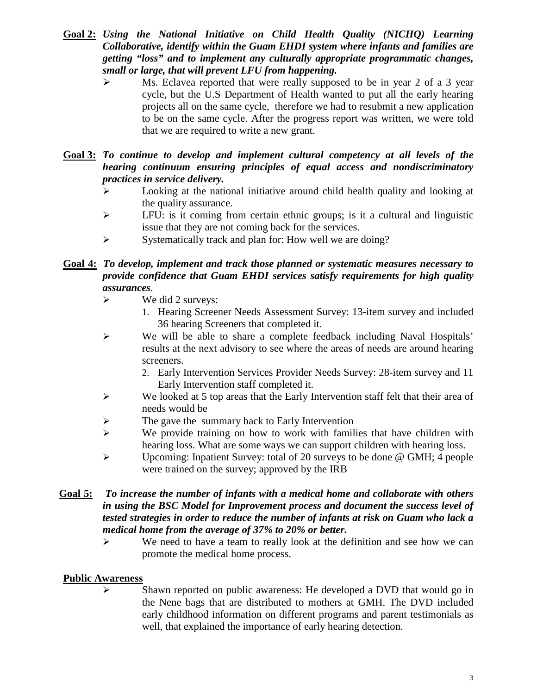- **Goal 2:** *Using the National Initiative on Child Health Quality (NICHQ) Learning Collaborative, identify within the Guam EHDI system where infants and families are getting "loss" and to implement any culturally appropriate programmatic changes, small or large, that will prevent LFU from happening.*
	- Ms. Eclavea reported that were really supposed to be in year 2 of a 3 year cycle, but the U.S Department of Health wanted to put all the early hearing projects all on the same cycle, therefore we had to resubmit a new application to be on the same cycle. After the progress report was written, we were told that we are required to write a new grant.

#### **Goal 3:** *To continue to develop and implement cultural competency at all levels of the hearing continuum ensuring principles of equal access and nondiscriminatory practices in service delivery.*

- $\triangleright$  Looking at the national initiative around child health quality and looking at the quality assurance.
- $\triangleright$  LFU: is it coming from certain ethnic groups; is it a cultural and linguistic issue that they are not coming back for the services.
- $\triangleright$  Systematically track and plan for: How well we are doing?

#### **Goal 4:** *To develop, implement and track those planned or systematic measures necessary to provide confidence that Guam EHDI services satisfy requirements for high quality assurances*.

- $\triangleright$  We did 2 surveys:
	- 1. Hearing Screener Needs Assessment Survey: 13-item survey and included 36 hearing Screeners that completed it.
- $\triangleright$  We will be able to share a complete feedback including Naval Hospitals' results at the next advisory to see where the areas of needs are around hearing screeners.
	- 2. Early Intervention Services Provider Needs Survey: 28-item survey and 11 Early Intervention staff completed it.
- We looked at 5 top areas that the Early Intervention staff felt that their area of needs would be
- $\triangleright$  The gave the summary back to Early Intervention
- $\triangleright$  We provide training on how to work with families that have children with hearing loss. What are some ways we can support children with hearing loss.
- $\triangleright$  Upcoming: Inpatient Survey: total of 20 surveys to be done @ GMH; 4 people were trained on the survey; approved by the IRB
- **Goal 5:** *To increase the number of infants with a medical home and collaborate with others in using the BSC Model for Improvement process and document the success level of tested strategies in order to reduce the number of infants at risk on Guam who lack a medical home from the average of 37% to 20% or better.*
	- $\triangleright$  We need to have a team to really look at the definition and see how we can promote the medical home process.

### **Public Awareness**

 $\triangleright$  Shawn reported on public awareness: He developed a DVD that would go in the Nene bags that are distributed to mothers at GMH. The DVD included early childhood information on different programs and parent testimonials as well, that explained the importance of early hearing detection.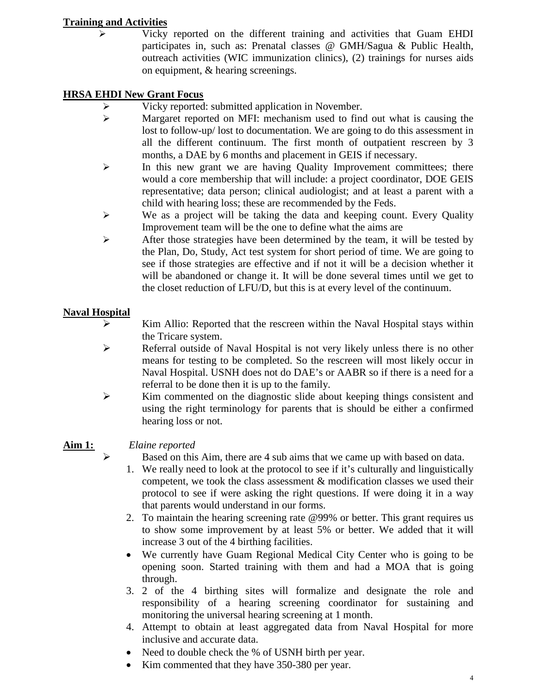## **Training and Activities**

 $\triangleright$  Vicky reported on the different training and activities that Guam EHDI participates in, such as: Prenatal classes @ GMH/Sagua & Public Health, outreach activities (WIC immunization clinics), (2) trainings for nurses aids on equipment, & hearing screenings.

# **HRSA EHDI New Grant Focus**

- Vicky reported: submitted application in November.
- $\triangleright$  Margaret reported on MFI: mechanism used to find out what is causing the lost to follow-up/ lost to documentation. We are going to do this assessment in all the different continuum. The first month of outpatient rescreen by 3 months, a DAE by 6 months and placement in GEIS if necessary.
- $\triangleright$  In this new grant we are having Quality Improvement committees; there would a core membership that will include: a project coordinator, DOE GEIS representative; data person; clinical audiologist; and at least a parent with a child with hearing loss; these are recommended by the Feds.
- $\triangleright$  We as a project will be taking the data and keeping count. Every Quality Improvement team will be the one to define what the aims are
- $\triangleright$  After those strategies have been determined by the team, it will be tested by the Plan, Do, Study, Act test system for short period of time. We are going to see if those strategies are effective and if not it will be a decision whether it will be abandoned or change it. It will be done several times until we get to the closet reduction of LFU/D, but this is at every level of the continuum.

# **Naval Hospital**

- Kim Allio: Reported that the rescreen within the Naval Hospital stays within the Tricare system.
- $\triangleright$  Referral outside of Naval Hospital is not very likely unless there is no other means for testing to be completed. So the rescreen will most likely occur in Naval Hospital. USNH does not do DAE's or AABR so if there is a need for a referral to be done then it is up to the family.
- $\triangleright$  Kim commented on the diagnostic slide about keeping things consistent and using the right terminology for parents that is should be either a confirmed hearing loss or not.

- **Aim 1:** *Elaine reported*
	- $\triangleright$  Based on this Aim, there are 4 sub aims that we came up with based on data.
		- 1. We really need to look at the protocol to see if it's culturally and linguistically competent, we took the class assessment  $\&$  modification classes we used their protocol to see if were asking the right questions. If were doing it in a way that parents would understand in our forms.
		- 2. To maintain the hearing screening rate @99% or better. This grant requires us to show some improvement by at least 5% or better. We added that it will increase 3 out of the 4 birthing facilities.
		- We currently have Guam Regional Medical City Center who is going to be opening soon. Started training with them and had a MOA that is going through.
		- 3. 2 of the 4 birthing sites will formalize and designate the role and responsibility of a hearing screening coordinator for sustaining and monitoring the universal hearing screening at 1 month.
		- 4. Attempt to obtain at least aggregated data from Naval Hospital for more inclusive and accurate data.
		- Need to double check the % of USNH birth per year.
		- Kim commented that they have 350-380 per year.